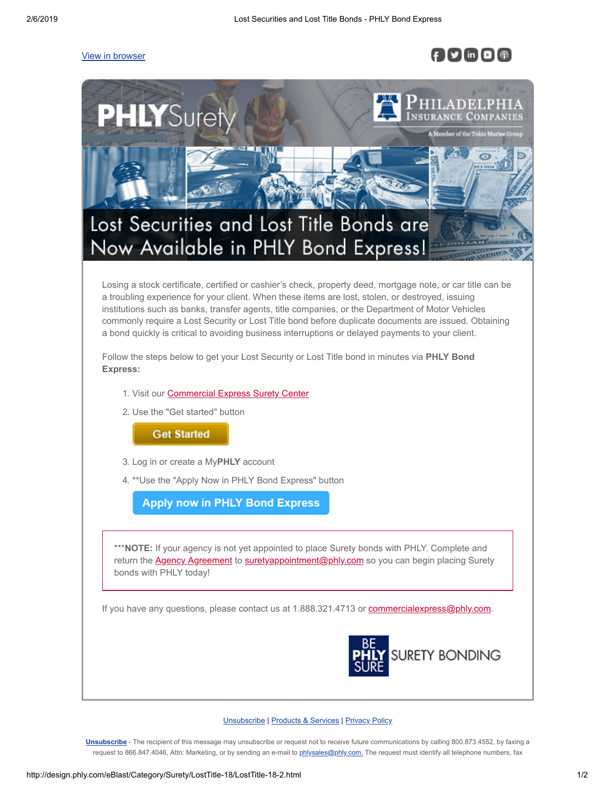## [View in browser](http://design.phly.com/eBlast/Category/Surety/LostTitle-18/LostTitle-18-2.html)

## $f \vee$  in  $\Box$



## [Unsubscribe](http://design.phly.com/eBlast/Category/Surety/SuretyBondDirect-15/%%email_preference_center_308%%) **|** [Products & Services](http://www.phly.com/products/products.aspx) **|** [Privacy Policy](http://www.phly.com/aboutphly/Legal/Legal.aspx)

**[Unsubscribe](http://design.phly.com/eBlast/Category/Surety/SuretyBondDirect-15/%%email_preference_center_308%%)** - The recipient of this message may unsubscribe or request not to receive future communications by calling 800.873.4552, by faxing a request to 866.847.4046, Attn: Marketing, or by sending an e-mail to [phlysales@phly.com.](mailto:%20phlysales@phly.com) The request must identify all telephone numbers, fax